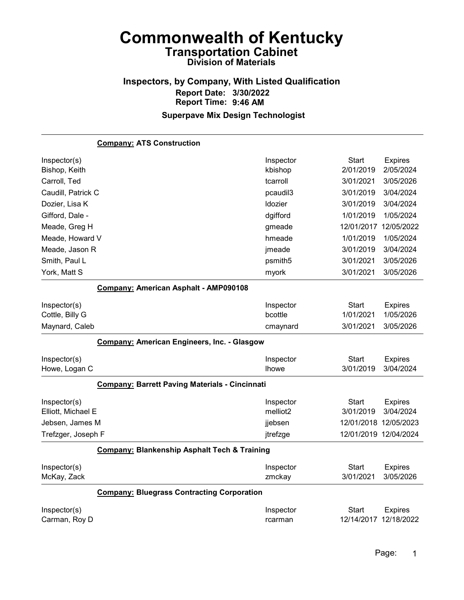## Inspectors, by Company, With Listed Qualification Report Date: 3/30/2022 Report Time: 9:46 AM

| <b>Company: ATS Construction</b>                        |                                   |                           |                             |
|---------------------------------------------------------|-----------------------------------|---------------------------|-----------------------------|
| Inspector(s)                                            | Inspector                         | Start                     | <b>Expires</b>              |
| Bishop, Keith                                           | kbishop                           | 2/01/2019                 | 2/05/2024                   |
| Carroll, Ted                                            | tcarroll                          | 3/01/2021                 | 3/05/2026                   |
| Caudill, Patrick C                                      | pcaudil3                          | 3/01/2019                 | 3/04/2024                   |
| Dozier, Lisa K                                          | Idozier                           | 3/01/2019                 | 3/04/2024                   |
| Gifford, Dale -                                         | dgifford                          | 1/01/2019                 | 1/05/2024                   |
| Meade, Greg H                                           | gmeade                            | 12/01/2017                | 12/05/2022                  |
| Meade, Howard V                                         | hmeade                            | 1/01/2019                 | 1/05/2024                   |
| Meade, Jason R                                          | jmeade                            | 3/01/2019                 | 3/04/2024                   |
| Smith, Paul L                                           | psmith <sub>5</sub>               | 3/01/2021                 | 3/05/2026                   |
| York, Matt S                                            | myork                             | 3/01/2021                 | 3/05/2026                   |
| Company: American Asphalt - AMP090108                   |                                   |                           |                             |
| Inspector(s)                                            | Inspector                         | Start                     | <b>Expires</b>              |
| Cottle, Billy G                                         | bcottle                           | 1/01/2021                 | 1/05/2026                   |
| Maynard, Caleb                                          | cmaynard                          | 3/01/2021                 | 3/05/2026                   |
| Company: American Engineers, Inc. - Glasgow             |                                   |                           |                             |
| Inspector(s)                                            | Inspector                         | <b>Start</b>              | <b>Expires</b>              |
| Howe, Logan C                                           | <b>Ihowe</b>                      | 3/01/2019                 | 3/04/2024                   |
| <b>Company: Barrett Paving Materials - Cincinnati</b>   |                                   |                           |                             |
| Inspector(s)<br>Elliott, Michael E                      | Inspector<br>melliot <sub>2</sub> | <b>Start</b><br>3/01/2019 | <b>Expires</b><br>3/04/2024 |
| Jebsen, James M                                         |                                   |                           |                             |
|                                                         |                                   |                           |                             |
|                                                         | jjebsen                           | 12/01/2018 12/05/2023     |                             |
| Trefzger, Joseph F                                      | jtrefzge                          | 12/01/2019 12/04/2024     |                             |
| <b>Company: Blankenship Asphalt Tech &amp; Training</b> |                                   |                           |                             |
| Inspector(s)                                            | Inspector                         | Start                     | <b>Expires</b>              |
| McKay, Zack                                             | zmckay                            | 3/01/2021                 | 3/05/2026                   |
| <b>Company: Bluegrass Contracting Corporation</b>       |                                   |                           |                             |
| Inspector(s)                                            | Inspector                         | Start                     | <b>Expires</b>              |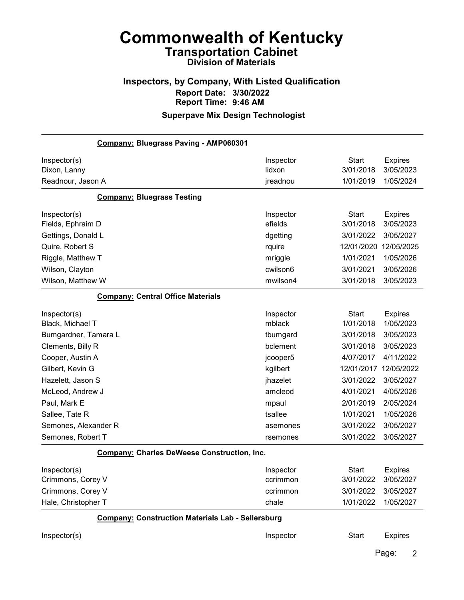## Inspectors, by Company, With Listed Qualification Report Date: 3/30/2022 Report Time: 9:46 AM

| Company: Bluegrass Paving - AMP060301                    |           |              |                         |
|----------------------------------------------------------|-----------|--------------|-------------------------|
| Inspector(s)                                             | Inspector | <b>Start</b> | <b>Expires</b>          |
| Dixon, Lanny                                             | lidxon    | 3/01/2018    | 3/05/2023               |
| Readnour, Jason A                                        | jreadnou  | 1/01/2019    | 1/05/2024               |
| <b>Company: Bluegrass Testing</b>                        |           |              |                         |
| Inspector(s)                                             | Inspector | <b>Start</b> | <b>Expires</b>          |
| Fields, Ephraim D                                        | efields   | 3/01/2018    | 3/05/2023               |
| Gettings, Donald L                                       | dgetting  | 3/01/2022    | 3/05/2027               |
| Quire, Robert S                                          | rquire    | 12/01/2020   | 12/05/2025              |
| Riggle, Matthew T                                        | mriggle   | 1/01/2021    | 1/05/2026               |
| Wilson, Clayton                                          | cwilson6  | 3/01/2021    | 3/05/2026               |
| Wilson, Matthew W                                        | mwilson4  | 3/01/2018    | 3/05/2023               |
| <b>Company: Central Office Materials</b>                 |           |              |                         |
| Inspector(s)                                             | Inspector | <b>Start</b> | <b>Expires</b>          |
| Black, Michael T                                         | mblack    | 1/01/2018    | 1/05/2023               |
| Bumgardner, Tamara L                                     | tbumgard  | 3/01/2018    | 3/05/2023               |
| Clements, Billy R                                        | bclement  | 3/01/2018    | 3/05/2023               |
| Cooper, Austin A                                         | jcooper5  | 4/07/2017    | 4/11/2022               |
| Gilbert, Kevin G                                         | kgilbert  | 12/01/2017   | 12/05/2022              |
| Hazelett, Jason S                                        | jhazelet  | 3/01/2022    | 3/05/2027               |
| McLeod, Andrew J                                         | amcleod   | 4/01/2021    | 4/05/2026               |
| Paul, Mark E                                             | mpaul     | 2/01/2019    | 2/05/2024               |
| Sallee, Tate R                                           | tsallee   | 1/01/2021    | 1/05/2026               |
| Semones, Alexander R                                     | asemones  | 3/01/2022    | 3/05/2027               |
| Semones, Robert T                                        | rsemones  | 3/01/2022    | 3/05/2027               |
| <b>Company: Charles DeWeese Construction, Inc.</b>       |           |              |                         |
| Inspector(s)                                             | Inspector | <b>Start</b> | <b>Expires</b>          |
| Crimmons, Corey V                                        | ccrimmon  | 3/01/2022    | 3/05/2027               |
| Crimmons, Corey V                                        | ccrimmon  | 3/01/2022    | 3/05/2027               |
| Hale, Christopher T                                      | chale     | 1/01/2022    | 1/05/2027               |
| <b>Company: Construction Materials Lab - Sellersburg</b> |           |              |                         |
| Inspector(s)                                             | Inspector | <b>Start</b> | <b>Expires</b>          |
|                                                          |           |              | Page:<br>$\overline{2}$ |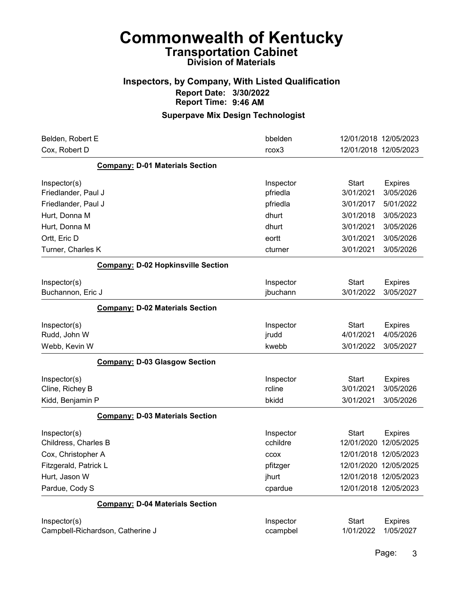#### Inspectors, by Company, With Listed Qualification Report Date: 3/30/2022 Report Time: 9:46 AM

| Belden, Robert E                          | bbelden   | 12/01/2018 12/05/2023          |
|-------------------------------------------|-----------|--------------------------------|
| Cox, Robert D                             | rcox3     | 12/01/2018 12/05/2023          |
| <b>Company: D-01 Materials Section</b>    |           |                                |
| Inspector(s)                              | Inspector | <b>Start</b><br><b>Expires</b> |
| Friedlander, Paul J                       | pfriedla  | 3/01/2021<br>3/05/2026         |
| Friedlander, Paul J                       | pfriedla  | 3/01/2017<br>5/01/2022         |
| Hurt, Donna M                             | dhurt     | 3/01/2018<br>3/05/2023         |
| Hurt, Donna M                             | dhurt     | 3/01/2021<br>3/05/2026         |
| Ortt, Eric D                              | eortt     | 3/01/2021<br>3/05/2026         |
| Turner, Charles K                         | cturner   | 3/01/2021<br>3/05/2026         |
| <b>Company: D-02 Hopkinsville Section</b> |           |                                |
| Inspector(s)                              | Inspector | <b>Start</b><br><b>Expires</b> |
| Buchannon, Eric J                         | jbuchann  | 3/01/2022<br>3/05/2027         |
| <b>Company: D-02 Materials Section</b>    |           |                                |
| Inspector(s)                              | Inspector | <b>Start</b><br><b>Expires</b> |
| Rudd, John W                              | jrudd     | 4/01/2021<br>4/05/2026         |
| Webb, Kevin W                             | kwebb     | 3/01/2022<br>3/05/2027         |
| <b>Company: D-03 Glasgow Section</b>      |           |                                |
| Inspector(s)                              | Inspector | <b>Start</b><br><b>Expires</b> |
| Cline, Richey B                           | rcline    | 3/01/2021<br>3/05/2026         |
| Kidd, Benjamin P                          | bkidd     | 3/01/2021<br>3/05/2026         |
| <b>Company: D-03 Materials Section</b>    |           |                                |
| Inspector(s)                              | Inspector | <b>Start</b><br><b>Expires</b> |
| Childress, Charles B                      | cchildre  | 12/01/2020<br>12/05/2025       |
| Cox, Christopher A                        | CCOX      | 12/01/2018 12/05/2023          |
| Fitzgerald, Patrick L                     | pfitzger  | 12/01/2020 12/05/2025          |
| Hurt, Jason W                             | jhurt     | 12/01/2018 12/05/2023          |
| Pardue, Cody S                            | cpardue   | 12/01/2018 12/05/2023          |
| <b>Company: D-04 Materials Section</b>    |           |                                |
| Inspector(s)                              | Inspector | <b>Start</b><br><b>Expires</b> |
| Campbell-Richardson, Catherine J          | ccampbel  | 1/01/2022<br>1/05/2027         |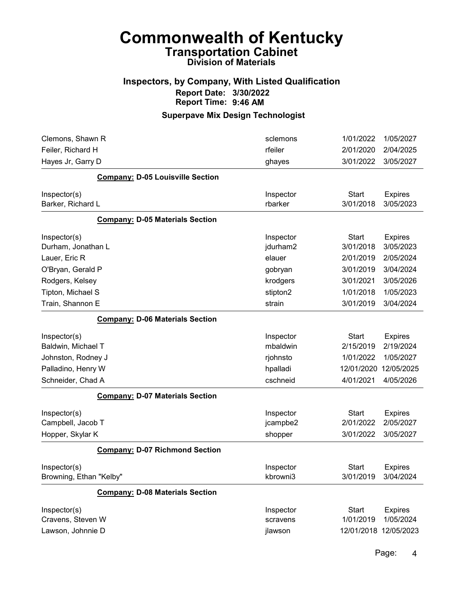#### Inspectors, by Company, With Listed Qualification Report Date: 3/30/2022 Report Time: 9:46 AM

## Superpave Mix Design Technologist

| Clemons, Shawn R                        | sclemons<br>rfeiler | 1/01/2022<br>2/01/2020 | 1/05/2027<br>2/04/2025 |
|-----------------------------------------|---------------------|------------------------|------------------------|
| Feiler, Richard H<br>Hayes Jr, Garry D  | ghayes              | 3/01/2022              | 3/05/2027              |
|                                         |                     |                        |                        |
| <b>Company: D-05 Louisville Section</b> |                     |                        |                        |
| Inspector(s)                            | Inspector           | <b>Start</b>           | <b>Expires</b>         |
| Barker, Richard L                       | rbarker             | 3/01/2018              | 3/05/2023              |
| <b>Company: D-05 Materials Section</b>  |                     |                        |                        |
| Inspector(s)                            | Inspector           | <b>Start</b>           | <b>Expires</b>         |
| Durham, Jonathan L                      | jdurham2            | 3/01/2018              | 3/05/2023              |
| Lauer, Eric R                           | elauer              | 2/01/2019              | 2/05/2024              |
| O'Bryan, Gerald P                       | gobryan             | 3/01/2019              | 3/04/2024              |
| Rodgers, Kelsey                         | krodgers            | 3/01/2021              | 3/05/2026              |
| Tipton, Michael S                       | stipton2            | 1/01/2018              | 1/05/2023              |
| Train, Shannon E                        | strain              | 3/01/2019              | 3/04/2024              |
| <b>Company: D-06 Materials Section</b>  |                     |                        |                        |
| Inspector(s)                            | Inspector           | <b>Start</b>           | <b>Expires</b>         |
| Baldwin, Michael T                      | mbaldwin            | 2/15/2019              | 2/19/2024              |
| Johnston, Rodney J                      | rjohnsto            | 1/01/2022              | 1/05/2027              |
| Palladino, Henry W                      | hpalladi            | 12/01/2020             | 12/05/2025             |
| Schneider, Chad A                       | cschneid            | 4/01/2021              | 4/05/2026              |
| <b>Company: D-07 Materials Section</b>  |                     |                        |                        |
| Inspector(s)                            | Inspector           | <b>Start</b>           | <b>Expires</b>         |
| Campbell, Jacob T                       | jcampbe2            | 2/01/2022              | 2/05/2027              |
| Hopper, Skylar K                        | shopper             | 3/01/2022              | 3/05/2027              |
| <b>Company: D-07 Richmond Section</b>   |                     |                        |                        |
| Inspector(s)                            | Inspector           | <b>Start</b>           | <b>Expires</b>         |
| Browning, Ethan "Kelby"                 | kbrowni3            | 3/01/2019              | 3/04/2024              |
| <b>Company: D-08 Materials Section</b>  |                     |                        |                        |
| Inspector(s)                            | Inspector           | <b>Start</b>           | <b>Expires</b>         |
| Cravens, Steven W                       | scravens            | 1/01/2019              | 1/05/2024              |
| Lawson, Johnnie D                       | jlawson             | 12/01/2018 12/05/2023  |                        |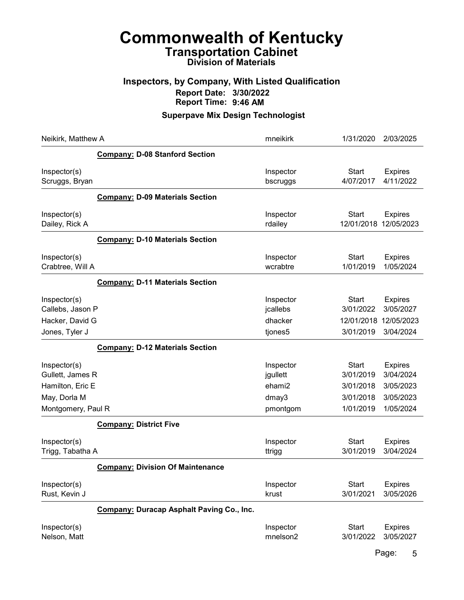#### Inspectors, by Company, With Listed Qualification Report Date: 3/30/2022 Report Time: 9:46 AM

## Superpave Mix Design Technologist

| Neikirk, Matthew A                                                                         |                                                  | mneikirk                                             | 1/31/2020                                                        | 2/03/2025                                                          |
|--------------------------------------------------------------------------------------------|--------------------------------------------------|------------------------------------------------------|------------------------------------------------------------------|--------------------------------------------------------------------|
|                                                                                            | <b>Company: D-08 Stanford Section</b>            |                                                      |                                                                  |                                                                    |
| Inspector(s)<br>Scruggs, Bryan                                                             |                                                  | Inspector<br>bscruggs                                | <b>Start</b><br>4/07/2017                                        | <b>Expires</b><br>4/11/2022                                        |
|                                                                                            | <b>Company: D-09 Materials Section</b>           |                                                      |                                                                  |                                                                    |
| Inspector(s)<br>Dailey, Rick A                                                             |                                                  | Inspector<br>rdailey                                 | <b>Start</b><br>12/01/2018                                       | <b>Expires</b><br>12/05/2023                                       |
|                                                                                            | <b>Company: D-10 Materials Section</b>           |                                                      |                                                                  |                                                                    |
| Inspector(s)<br>Crabtree, Will A                                                           |                                                  | Inspector<br>wcrabtre                                | <b>Start</b><br>1/01/2019                                        | <b>Expires</b><br>1/05/2024                                        |
|                                                                                            | <b>Company: D-11 Materials Section</b>           |                                                      |                                                                  |                                                                    |
| Inspector(s)<br>Callebs, Jason P<br>Hacker, David G                                        |                                                  | Inspector<br>jcallebs<br>dhacker                     | Start<br>3/01/2022<br>12/01/2018<br>3/01/2019                    | <b>Expires</b><br>3/05/2027<br>12/05/2023                          |
| Jones, Tyler J                                                                             | <b>Company: D-12 Materials Section</b>           | tjones5                                              |                                                                  | 3/04/2024                                                          |
| Inspector(s)<br>Gullett, James R<br>Hamilton, Eric E<br>May, Dorla M<br>Montgomery, Paul R |                                                  | Inspector<br>jgullett<br>ehami2<br>dmay3<br>pmontgom | <b>Start</b><br>3/01/2019<br>3/01/2018<br>3/01/2018<br>1/01/2019 | <b>Expires</b><br>3/04/2024<br>3/05/2023<br>3/05/2023<br>1/05/2024 |
|                                                                                            | <b>Company: District Five</b>                    |                                                      |                                                                  |                                                                    |
| Inspector(s)<br>Trigg, Tabatha A                                                           |                                                  | Inspector<br>ttrigg                                  | <b>Start</b><br>3/01/2019                                        | <b>Expires</b><br>3/04/2024                                        |
|                                                                                            | <b>Company: Division Of Maintenance</b>          |                                                      |                                                                  |                                                                    |
| Inspector(s)<br>Rust, Kevin J                                                              |                                                  | Inspector<br>krust                                   | <b>Start</b><br>3/01/2021                                        | <b>Expires</b><br>3/05/2026                                        |
|                                                                                            | <b>Company: Duracap Asphalt Paving Co., Inc.</b> |                                                      |                                                                  |                                                                    |
| Inspector(s)<br>Nelson, Matt                                                               |                                                  | Inspector<br>mnelson2                                | <b>Start</b><br>3/01/2022                                        | <b>Expires</b><br>3/05/2027                                        |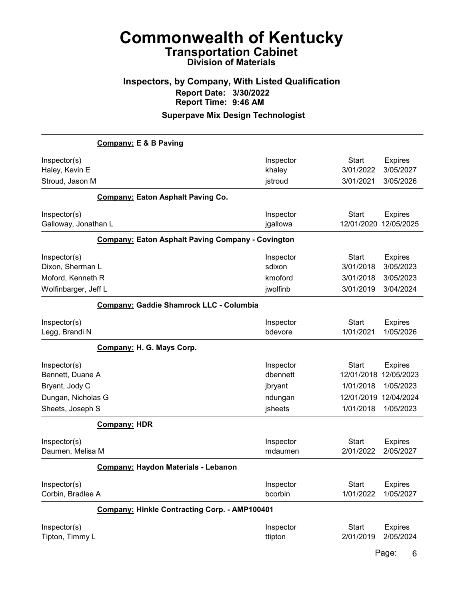## Inspectors, by Company, With Listed Qualification Report Date: 3/30/2022 Report Time: 9:46 AM

#### Superpave Mix Design Technologist

|                      | <b>Company: E &amp; B Paving</b>                         |           |              |                |
|----------------------|----------------------------------------------------------|-----------|--------------|----------------|
| Inspector(s)         |                                                          | Inspector | <b>Start</b> | <b>Expires</b> |
| Haley, Kevin E       |                                                          | khaley    | 3/01/2022    | 3/05/2027      |
| Stroud, Jason M      |                                                          | jstroud   | 3/01/2021    | 3/05/2026      |
|                      | <b>Company: Eaton Asphalt Paving Co.</b>                 |           |              |                |
| Inspector(s)         |                                                          | Inspector | <b>Start</b> | <b>Expires</b> |
| Galloway, Jonathan L |                                                          | jgallowa  | 12/01/2020   | 12/05/2025     |
|                      | <b>Company: Eaton Asphalt Paving Company - Covington</b> |           |              |                |
| Inspector(s)         |                                                          | Inspector | <b>Start</b> | <b>Expires</b> |
| Dixon, Sherman L     |                                                          | sdixon    | 3/01/2018    | 3/05/2023      |
| Moford, Kenneth R    |                                                          | kmoford   | 3/01/2018    | 3/05/2023      |
| Wolfinbarger, Jeff L |                                                          | jwolfinb  | 3/01/2019    | 3/04/2024      |
|                      | Company: Gaddie Shamrock LLC - Columbia                  |           |              |                |
| Inspector(s)         |                                                          | Inspector | <b>Start</b> | <b>Expires</b> |
| Legg, Brandi N       |                                                          | bdevore   | 1/01/2021    | 1/05/2026      |
|                      | Company: H. G. Mays Corp.                                |           |              |                |
| Inspector(s)         |                                                          | Inspector | <b>Start</b> | <b>Expires</b> |
| Bennett, Duane A     |                                                          | dbennett  | 12/01/2018   | 12/05/2023     |
| Bryant, Jody C       |                                                          | jbryant   | 1/01/2018    | 1/05/2023      |
| Dungan, Nicholas G   |                                                          | ndungan   | 12/01/2019   | 12/04/2024     |
| Sheets, Joseph S     |                                                          | jsheets   | 1/01/2018    | 1/05/2023      |
|                      | <b>Company: HDR</b>                                      |           |              |                |
| Inspector(s)         |                                                          | Inspector | <b>Start</b> | <b>Expires</b> |
| Daumen, Melisa M     |                                                          | mdaumen   | 2/01/2022    | 2/05/2027      |
|                      | Company: Haydon Materials - Lebanon                      |           |              |                |
| Inspector(s)         |                                                          | Inspector | <b>Start</b> | <b>Expires</b> |
| Corbin, Bradlee A    |                                                          | bcorbin   | 1/01/2022    | 1/05/2027      |
|                      | Company: Hinkle Contracting Corp. - AMP100401            |           |              |                |
| Inspector(s)         |                                                          | Inspector | <b>Start</b> | <b>Expires</b> |
| Tipton, Timmy L      |                                                          | ttipton   | 2/01/2019    | 2/05/2024      |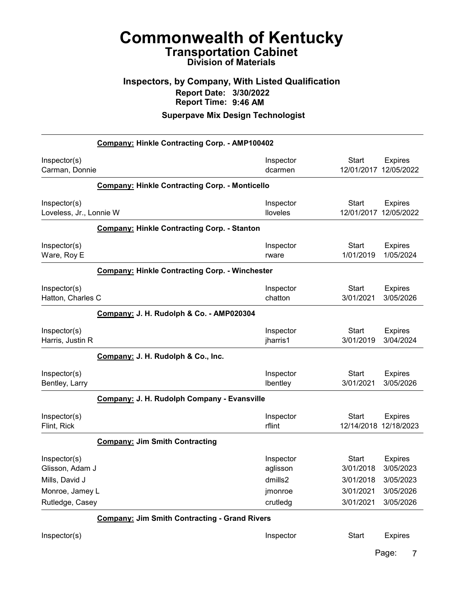#### Inspectors, by Company, With Listed Qualification Report Date: 3/30/2022 Report Time: 9:46 AM

#### Superpave Mix Design Technologist

| Company: Hinkle Contracting Corp. - AMP100402                        |                                                       |                                             |                                                     |                                                       |
|----------------------------------------------------------------------|-------------------------------------------------------|---------------------------------------------|-----------------------------------------------------|-------------------------------------------------------|
| Inspector(s)<br>Carman, Donnie                                       |                                                       | Inspector<br>dcarmen                        | <b>Start</b><br>12/01/2017                          | <b>Expires</b><br>12/05/2022                          |
|                                                                      | <b>Company: Hinkle Contracting Corp. - Monticello</b> |                                             |                                                     |                                                       |
| Inspector(s)<br>Loveless, Jr., Lonnie W                              |                                                       | Inspector<br>lloveles                       | <b>Start</b><br>12/01/2017                          | <b>Expires</b><br>12/05/2022                          |
|                                                                      | <b>Company: Hinkle Contracting Corp. - Stanton</b>    |                                             |                                                     |                                                       |
| Inspector(s)<br>Ware, Roy E                                          |                                                       | Inspector<br>rware                          | <b>Start</b><br>1/01/2019                           | <b>Expires</b><br>1/05/2024                           |
|                                                                      | <b>Company: Hinkle Contracting Corp. - Winchester</b> |                                             |                                                     |                                                       |
| Inspector(s)<br>Hatton, Charles C                                    |                                                       | Inspector<br>chatton                        | <b>Start</b><br>3/01/2021                           | <b>Expires</b><br>3/05/2026                           |
|                                                                      | Company: J. H. Rudolph & Co. - AMP020304              |                                             |                                                     |                                                       |
| Inspector(s)<br>Harris, Justin R                                     |                                                       | Inspector<br>jharris1                       | <b>Start</b><br>3/01/2019                           | <b>Expires</b><br>3/04/2024                           |
|                                                                      | Company: J. H. Rudolph & Co., Inc.                    |                                             |                                                     |                                                       |
| Inspector(s)<br>Bentley, Larry                                       |                                                       | Inspector<br>Ibentley                       | <b>Start</b><br>3/01/2021                           | <b>Expires</b><br>3/05/2026                           |
|                                                                      | Company: J. H. Rudolph Company - Evansville           |                                             |                                                     |                                                       |
| Inspector(s)<br>Flint, Rick                                          |                                                       | Inspector<br>rflint                         | <b>Start</b><br>12/14/2018 12/18/2023               | <b>Expires</b>                                        |
|                                                                      | <b>Company: Jim Smith Contracting</b>                 |                                             |                                                     |                                                       |
| Inspector(s)<br>Glisson, Adam J<br>Mills, David J<br>Monroe, Jamey L |                                                       | Inspector<br>aglisson<br>dmills2<br>jmonroe | <b>Start</b><br>3/01/2018<br>3/01/2018<br>3/01/2021 | <b>Expires</b><br>3/05/2023<br>3/05/2023<br>3/05/2026 |
| Rutledge, Casey                                                      | <b>Company: Jim Smith Contracting - Grand Rivers</b>  | crutledg                                    | 3/01/2021                                           | 3/05/2026                                             |
| Inspector(s)                                                         |                                                       | Inspector                                   | <b>Start</b>                                        | <b>Expires</b>                                        |
|                                                                      |                                                       |                                             |                                                     |                                                       |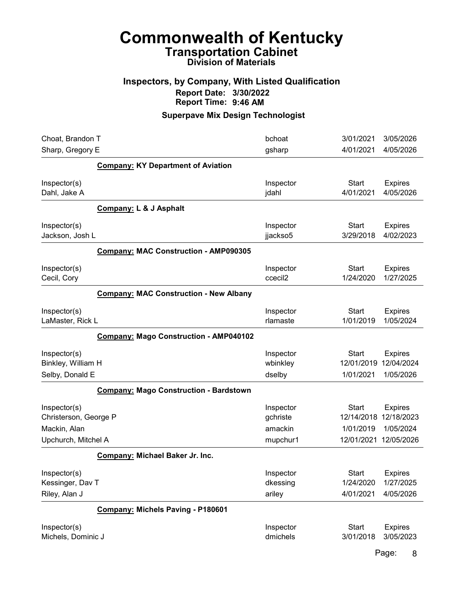# Commonwealth of Kentucky Transportation Cabinet

# Division of Materials

#### Inspectors, by Company, With Listed Qualification Report Date: 3/30/2022 Report Time: 9:46 AM

## Superpave Mix Design Technologist

| Choat, Brandon T                                      |                                               | bchoat                           | 3/01/2021                               | 3/05/2026                                 |
|-------------------------------------------------------|-----------------------------------------------|----------------------------------|-----------------------------------------|-------------------------------------------|
| Sharp, Gregory E                                      |                                               | gsharp                           | 4/01/2021                               | 4/05/2026                                 |
|                                                       | <b>Company: KY Department of Aviation</b>     |                                  |                                         |                                           |
| Inspector(s)<br>Dahl, Jake A                          |                                               | Inspector<br>jdahl               | <b>Start</b><br>4/01/2021               | <b>Expires</b><br>4/05/2026               |
|                                                       | Company: L & J Asphalt                        |                                  |                                         |                                           |
| Inspector(s)<br>Jackson, Josh L                       |                                               | Inspector<br>jjackso5            | <b>Start</b><br>3/29/2018               | <b>Expires</b><br>4/02/2023               |
|                                                       | <b>Company: MAC Construction - AMP090305</b>  |                                  |                                         |                                           |
| Inspector(s)<br>Cecil, Cory                           |                                               | Inspector<br>ccecil <sub>2</sub> | <b>Start</b><br>1/24/2020               | <b>Expires</b><br>1/27/2025               |
|                                                       | <b>Company: MAC Construction - New Albany</b> |                                  |                                         |                                           |
| Inspector(s)<br>LaMaster, Rick L                      |                                               | Inspector<br>rlamaste            | <b>Start</b><br>1/01/2019               | <b>Expires</b><br>1/05/2024               |
|                                                       | <b>Company: Mago Construction - AMP040102</b> |                                  |                                         |                                           |
| Inspector(s)<br>Binkley, William H                    |                                               | Inspector<br>wbinkley            | <b>Start</b><br>12/01/2019              | <b>Expires</b><br>12/04/2024              |
| Selby, Donald E                                       |                                               | dselby                           | 1/01/2021                               | 1/05/2026                                 |
|                                                       | <b>Company: Mago Construction - Bardstown</b> |                                  |                                         |                                           |
| Inspector(s)<br>Christerson, George P<br>Mackin, Alan |                                               | Inspector<br>gchriste<br>amackin | <b>Start</b><br>12/14/2018<br>1/01/2019 | <b>Expires</b><br>12/18/2023<br>1/05/2024 |
| Upchurch, Mitchel A                                   |                                               | mupchur1                         | 12/01/2021                              | 12/05/2026                                |
|                                                       | Company: Michael Baker Jr. Inc.               |                                  |                                         |                                           |
| Inspector(s)<br>Kessinger, Dav T<br>Riley, Alan J     |                                               | Inspector<br>dkessing<br>ariley  | Start<br>1/24/2020<br>4/01/2021         | <b>Expires</b><br>1/27/2025<br>4/05/2026  |
|                                                       | Company: Michels Paving - P180601             |                                  |                                         |                                           |
| Inspector(s)<br>Michels, Dominic J                    |                                               | Inspector<br>dmichels            | <b>Start</b><br>3/01/2018               | <b>Expires</b><br>3/05/2023               |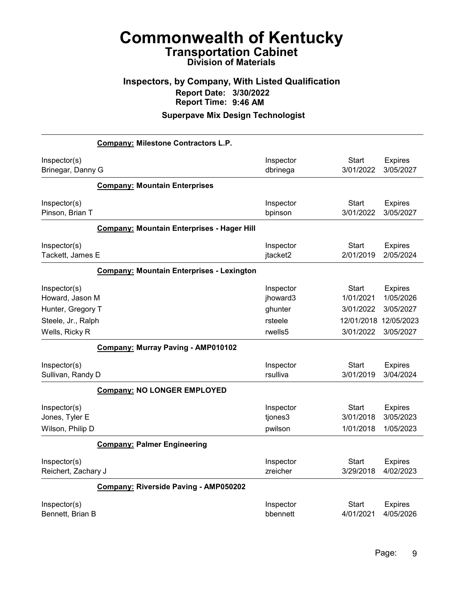## Inspectors, by Company, With Listed Qualification Report Date: 3/30/2022 Report Time: 9:46 AM

|                                                    | <b>Company: Milestone Contractors L.P.</b>       |                                 |                                 |                                          |
|----------------------------------------------------|--------------------------------------------------|---------------------------------|---------------------------------|------------------------------------------|
| Inspector(s)<br>Brinegar, Danny G                  |                                                  | Inspector<br>dbrinega           | Start<br>3/01/2022              | <b>Expires</b><br>3/05/2027              |
|                                                    | <b>Company: Mountain Enterprises</b>             |                                 |                                 |                                          |
| Inspector(s)<br>Pinson, Brian T                    |                                                  | Inspector<br>bpinson            | <b>Start</b><br>3/01/2022       | <b>Expires</b><br>3/05/2027              |
|                                                    | Company: Mountain Enterprises - Hager Hill       |                                 |                                 |                                          |
| Inspector(s)<br>Tackett, James E                   |                                                  | Inspector<br>jtacket2           | <b>Start</b><br>2/01/2019       | <b>Expires</b><br>2/05/2024              |
|                                                    | <b>Company: Mountain Enterprises - Lexington</b> |                                 |                                 |                                          |
| Inspector(s)<br>Howard, Jason M                    |                                                  | Inspector<br>jhoward3           | Start<br>1/01/2021              | <b>Expires</b><br>1/05/2026              |
| Hunter, Gregory T                                  |                                                  | ghunter                         | 3/01/2022                       | 3/05/2027                                |
| Steele, Jr., Ralph                                 |                                                  | rsteele                         | 12/01/2018                      | 12/05/2023                               |
| Wells, Ricky R                                     |                                                  | rwells5                         | 3/01/2022                       | 3/05/2027                                |
|                                                    | Company: Murray Paving - AMP010102               |                                 |                                 |                                          |
| Inspector(s)<br>Sullivan, Randy D                  |                                                  | Inspector<br>rsulliva           | <b>Start</b><br>3/01/2019       | <b>Expires</b><br>3/04/2024              |
|                                                    | <b>Company: NO LONGER EMPLOYED</b>               |                                 |                                 |                                          |
| Inspector(s)<br>Jones, Tyler E<br>Wilson, Philip D |                                                  | Inspector<br>tjones3<br>pwilson | Start<br>3/01/2018<br>1/01/2018 | <b>Expires</b><br>3/05/2023<br>1/05/2023 |
|                                                    | <b>Company: Palmer Engineering</b>               |                                 |                                 |                                          |
| Inspector(s)<br>Reichert, Zachary J                |                                                  | Inspector<br>zreicher           | Start<br>3/29/2018              | <b>Expires</b><br>4/02/2023              |
|                                                    | Company: Riverside Paving - AMP050202            |                                 |                                 |                                          |
| Inspector(s)<br>Bennett, Brian B                   |                                                  | Inspector<br>bbennett           | Start<br>4/01/2021              | <b>Expires</b><br>4/05/2026              |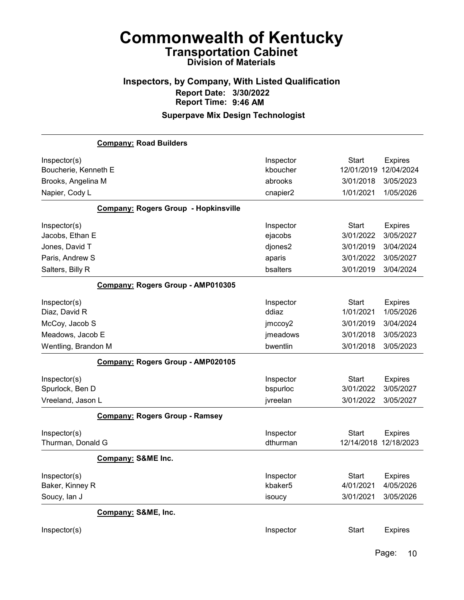## Inspectors, by Company, With Listed Qualification Report Date: 3/30/2022 Report Time: 9:46 AM

## Superpave Mix Design Technologist

|                      | <b>Company: Road Builders</b>               |           |                       |                |
|----------------------|---------------------------------------------|-----------|-----------------------|----------------|
| Inspector(s)         |                                             | Inspector | <b>Start</b>          | <b>Expires</b> |
| Boucherie, Kenneth E |                                             | kboucher  | 12/01/2019            | 12/04/2024     |
| Brooks, Angelina M   |                                             | abrooks   | 3/01/2018             | 3/05/2023      |
| Napier, Cody L       |                                             | cnapier2  | 1/01/2021             | 1/05/2026      |
|                      | <b>Company: Rogers Group - Hopkinsville</b> |           |                       |                |
| Inspector(s)         |                                             | Inspector | <b>Start</b>          | <b>Expires</b> |
| Jacobs, Ethan E      |                                             | ejacobs   | 3/01/2022             | 3/05/2027      |
| Jones, David T       |                                             | djones2   | 3/01/2019             | 3/04/2024      |
| Paris, Andrew S      |                                             | aparis    | 3/01/2022             | 3/05/2027      |
| Salters, Billy R     |                                             | bsalters  | 3/01/2019             | 3/04/2024      |
|                      | Company: Rogers Group - AMP010305           |           |                       |                |
| Inspector(s)         |                                             | Inspector | <b>Start</b>          | <b>Expires</b> |
| Diaz, David R        |                                             | ddiaz     | 1/01/2021             | 1/05/2026      |
| McCoy, Jacob S       |                                             | jmccoy2   | 3/01/2019             | 3/04/2024      |
| Meadows, Jacob E     |                                             | jmeadows  | 3/01/2018             | 3/05/2023      |
| Wentling, Brandon M  |                                             | bwentlin  | 3/01/2018             | 3/05/2023      |
|                      | Company: Rogers Group - AMP020105           |           |                       |                |
| Inspector(s)         |                                             | Inspector | <b>Start</b>          | <b>Expires</b> |
| Spurlock, Ben D      |                                             | bspurloc  | 3/01/2022             | 3/05/2027      |
| Vreeland, Jason L    |                                             | jvreelan  | 3/01/2022             | 3/05/2027      |
|                      | <b>Company: Rogers Group - Ramsey</b>       |           |                       |                |
| Inspector(s)         |                                             | Inspector | <b>Start</b>          | <b>Expires</b> |
| Thurman, Donald G    |                                             | dthurman  | 12/14/2018 12/18/2023 |                |
|                      | <b>Company: S&amp;ME Inc.</b>               |           |                       |                |
| Inspector(s)         |                                             | Inspector | Start                 | <b>Expires</b> |
| Baker, Kinney R      |                                             | kbaker5   | 4/01/2021             | 4/05/2026      |
| Soucy, lan J         |                                             | isoucy    | 3/01/2021             | 3/05/2026      |
|                      | Company: S&ME, Inc.                         |           |                       |                |
| Inspector(s)         |                                             | Inspector | <b>Start</b>          | <b>Expires</b> |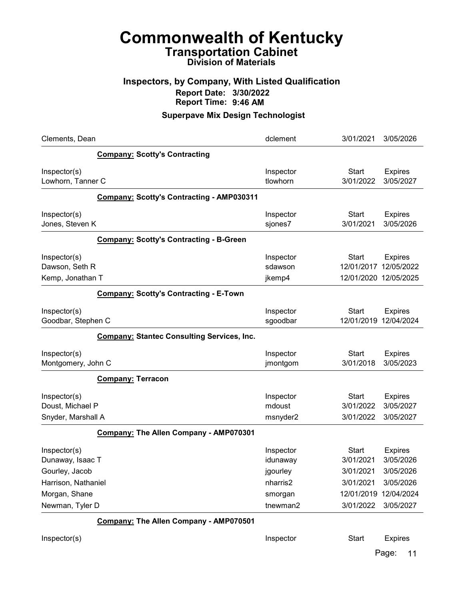#### Inspectors, by Company, With Listed Qualification Report Date: 3/30/2022 Report Time: 9:46 AM

#### Superpave Mix Design Technologist

| Clements, Dean                                                                                                |                                                   | dclement                                                             | 3/01/2021                                                                      | 3/05/2026                                                                        |
|---------------------------------------------------------------------------------------------------------------|---------------------------------------------------|----------------------------------------------------------------------|--------------------------------------------------------------------------------|----------------------------------------------------------------------------------|
|                                                                                                               | <b>Company: Scotty's Contracting</b>              |                                                                      |                                                                                |                                                                                  |
| Inspector(s)<br>Lowhorn, Tanner C                                                                             |                                                   | Inspector<br>tlowhorn                                                | <b>Start</b><br>3/01/2022                                                      | <b>Expires</b><br>3/05/2027                                                      |
|                                                                                                               | <b>Company: Scotty's Contracting - AMP030311</b>  |                                                                      |                                                                                |                                                                                  |
| Inspector(s)<br>Jones, Steven K                                                                               |                                                   | Inspector<br>sjones7                                                 | <b>Start</b><br>3/01/2021                                                      | <b>Expires</b><br>3/05/2026                                                      |
|                                                                                                               | <b>Company: Scotty's Contracting - B-Green</b>    |                                                                      |                                                                                |                                                                                  |
| Inspector(s)<br>Dawson, Seth R<br>Kemp, Jonathan T                                                            |                                                   | Inspector<br>sdawson<br>jkemp4                                       | <b>Start</b><br>12/01/2017<br>12/01/2020 12/05/2025                            | <b>Expires</b><br>12/05/2022                                                     |
|                                                                                                               | <b>Company: Scotty's Contracting - E-Town</b>     |                                                                      |                                                                                |                                                                                  |
| Inspector(s)<br>Goodbar, Stephen C                                                                            |                                                   | Inspector<br>sgoodbar                                                | <b>Start</b><br>12/01/2019                                                     | <b>Expires</b><br>12/04/2024                                                     |
|                                                                                                               | <b>Company: Stantec Consulting Services, Inc.</b> |                                                                      |                                                                                |                                                                                  |
| Inspector(s)<br>Montgomery, John C                                                                            |                                                   | Inspector<br>jmontgom                                                | <b>Start</b><br>3/01/2018                                                      | <b>Expires</b><br>3/05/2023                                                      |
|                                                                                                               | <b>Company: Terracon</b>                          |                                                                      |                                                                                |                                                                                  |
| Inspector(s)<br>Doust, Michael P<br>Snyder, Marshall A                                                        |                                                   | Inspector<br>mdoust<br>msnyder2                                      | Start<br>3/01/2022<br>3/01/2022                                                | <b>Expires</b><br>3/05/2027<br>3/05/2027                                         |
|                                                                                                               | Company: The Allen Company - AMP070301            |                                                                      |                                                                                |                                                                                  |
| Inspector(s)<br>Dunaway, Isaac T<br>Gourley, Jacob<br>Harrison, Nathaniel<br>Morgan, Shane<br>Newman, Tyler D |                                                   | Inspector<br>idunaway<br>jgourley<br>nharris2<br>smorgan<br>tnewman2 | <b>Start</b><br>3/01/2021<br>3/01/2021<br>3/01/2021<br>12/01/2019<br>3/01/2022 | <b>Expires</b><br>3/05/2026<br>3/05/2026<br>3/05/2026<br>12/04/2024<br>3/05/2027 |
|                                                                                                               | Company: The Allen Company - AMP070501            |                                                                      |                                                                                |                                                                                  |

Inspector(s) **Inspector** Start Expires